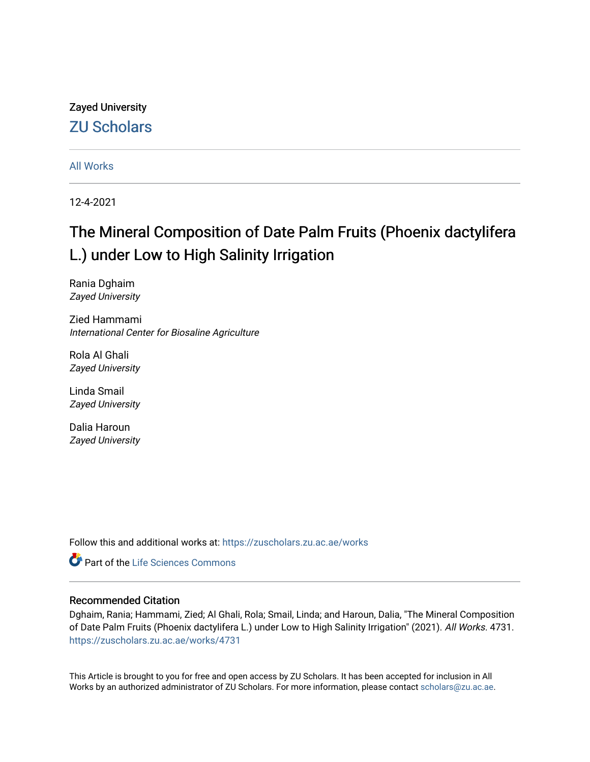# Zayed University [ZU Scholars](https://zuscholars.zu.ac.ae/)

[All Works](https://zuscholars.zu.ac.ae/works)

12-4-2021

# The Mineral Composition of Date Palm Fruits (Phoenix dactylifera L.) under Low to High Salinity Irrigation

Rania Dghaim Zayed University

Zied Hammami International Center for Biosaline Agriculture

Rola Al Ghali Zayed University

Linda Smail Zayed University

Dalia Haroun Zayed University

Follow this and additional works at: [https://zuscholars.zu.ac.ae/works](https://zuscholars.zu.ac.ae/works?utm_source=zuscholars.zu.ac.ae%2Fworks%2F4731&utm_medium=PDF&utm_campaign=PDFCoverPages)

**C** Part of the Life Sciences Commons

# Recommended Citation

Dghaim, Rania; Hammami, Zied; Al Ghali, Rola; Smail, Linda; and Haroun, Dalia, "The Mineral Composition of Date Palm Fruits (Phoenix dactylifera L.) under Low to High Salinity Irrigation" (2021). All Works. 4731. [https://zuscholars.zu.ac.ae/works/4731](https://zuscholars.zu.ac.ae/works/4731?utm_source=zuscholars.zu.ac.ae%2Fworks%2F4731&utm_medium=PDF&utm_campaign=PDFCoverPages)

This Article is brought to you for free and open access by ZU Scholars. It has been accepted for inclusion in All Works by an authorized administrator of ZU Scholars. For more information, please contact [scholars@zu.ac.ae](mailto:scholars@zu.ac.ae).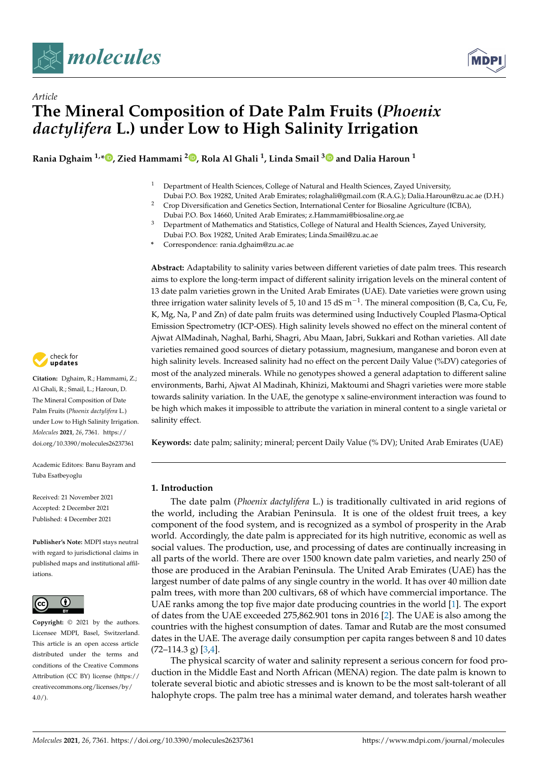



# *Article* **The Mineral Composition of Date Palm Fruits (***Phoenix dactylifera* **L.) under Low to High Salinity Irrigation**

**Rania Dghaim 1,\* [,](https://orcid.org/0000-0003-2231-0977) Zied Hammami <sup>2</sup> [,](https://orcid.org/0000-0002-5382-1721) Rola Al Ghali <sup>1</sup> , Linda Smail [3](https://orcid.org/0000-0001-9388-1334) and Dalia Haroun <sup>1</sup>**

- <sup>1</sup> Department of Health Sciences, College of Natural and Health Sciences, Zayed University,
- Dubai P.O. Box 19282, United Arab Emirates; rolaghali@gmail.com (R.A.G.); Dalia.Haroun@zu.ac.ae (D.H.) <sup>2</sup> Crop Diversification and Genetics Section, International Center for Biosaline Agriculture (ICBA),
- Dubai P.O. Box 14660, United Arab Emirates; z.Hammami@biosaline.org.ae <sup>3</sup> Department of Mathematics and Statistics, College of Natural and Health Sciences, Zayed University,
- Dubai P.O. Box 19282, United Arab Emirates; Linda.Smail@zu.ac.ae
- **\*** Correspondence: rania.dghaim@zu.ac.ae

**Abstract:** Adaptability to salinity varies between different varieties of date palm trees. This research aims to explore the long-term impact of different salinity irrigation levels on the mineral content of 13 date palm varieties grown in the United Arab Emirates (UAE). Date varieties were grown using three irrigation water salinity levels of 5, 10 and 15 dS m<sup>-1</sup>. The mineral composition (B, Ca, Cu, Fe, K, Mg, Na, P and Zn) of date palm fruits was determined using Inductively Coupled Plasma-Optical Emission Spectrometry (ICP-OES). High salinity levels showed no effect on the mineral content of Ajwat AlMadinah, Naghal, Barhi, Shagri, Abu Maan, Jabri, Sukkari and Rothan varieties. All date varieties remained good sources of dietary potassium, magnesium, manganese and boron even at high salinity levels. Increased salinity had no effect on the percent Daily Value (%DV) categories of most of the analyzed minerals. While no genotypes showed a general adaptation to different saline environments, Barhi, Ajwat Al Madinah, Khinizi, Maktoumi and Shagri varieties were more stable towards salinity variation. In the UAE, the genotype x saline-environment interaction was found to be high which makes it impossible to attribute the variation in mineral content to a single varietal or salinity effect.

**Keywords:** date palm; salinity; mineral; percent Daily Value (% DV); United Arab Emirates (UAE)

# **1. Introduction**

The date palm (*Phoenix dactylifera* L.) is traditionally cultivated in arid regions of the world, including the Arabian Peninsula. It is one of the oldest fruit trees, a key component of the food system, and is recognized as a symbol of prosperity in the Arab world. Accordingly, the date palm is appreciated for its high nutritive, economic as well as social values. The production, use, and processing of dates are continually increasing in all parts of the world. There are over 1500 known date palm varieties, and nearly 250 of those are produced in the Arabian Peninsula. The United Arab Emirates (UAE) has the largest number of date palms of any single country in the world. It has over 40 million date palm trees, with more than 200 cultivars, 68 of which have commercial importance. The UAE ranks among the top five major date producing countries in the world [\[1\]](#page-13-0). The export of dates from the UAE exceeded 275,862.901 tons in 2016 [\[2\]](#page-13-1). The UAE is also among the countries with the highest consumption of dates. Tamar and Rutab are the most consumed dates in the UAE. The average daily consumption per capita ranges between 8 and 10 dates  $(72-114.3 \text{ g})$  [\[3,](#page-13-2)[4\]](#page-13-3).

The physical scarcity of water and salinity represent a serious concern for food production in the Middle East and North African (MENA) region. The date palm is known to tolerate several biotic and abiotic stresses and is known to be the most salt-tolerant of all halophyte crops. The palm tree has a minimal water demand, and tolerates harsh weather



**Citation:** Dghaim, R.; Hammami, Z.; Al Ghali, R.; Smail, L.; Haroun, D. The Mineral Composition of Date Palm Fruits (*Phoenix dactylifera* L.) under Low to High Salinity Irrigation. *Molecules* **2021**, *26*, 7361. [https://](https://doi.org/10.3390/molecules26237361) [doi.org/10.3390/molecules26237361](https://doi.org/10.3390/molecules26237361)

Academic Editors: Banu Bayram and Tuba Esatbeyoglu

Received: 21 November 2021 Accepted: 2 December 2021 Published: 4 December 2021

**Publisher's Note:** MDPI stays neutral with regard to jurisdictional claims in published maps and institutional affiliations.



**Copyright:** © 2021 by the authors. Licensee MDPI, Basel, Switzerland. This article is an open access article distributed under the terms and conditions of the Creative Commons Attribution (CC BY) license (https:/[/](https://creativecommons.org/licenses/by/4.0/) [creativecommons.org/licenses/by/](https://creativecommons.org/licenses/by/4.0/) 4.0/).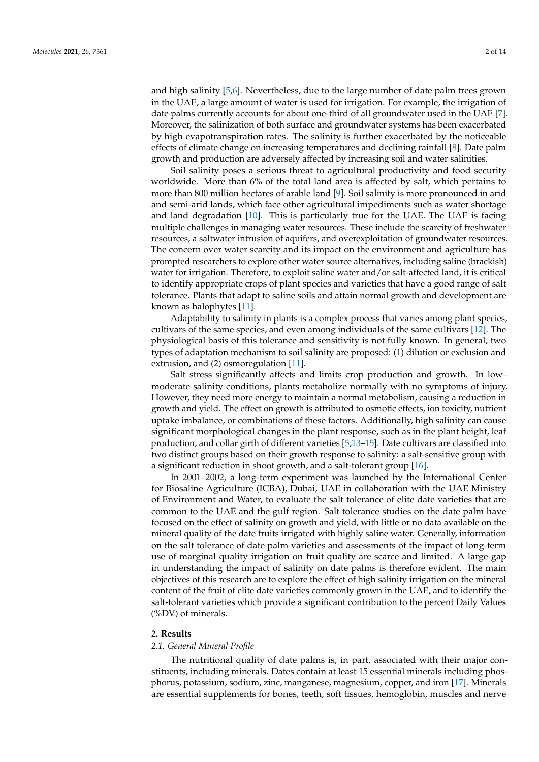and high salinity [\[5](#page-13-4)[,6\]](#page-13-5). Nevertheless, due to the large number of date palm trees grown in the UAE, a large amount of water is used for irrigation. For example, the irrigation of date palms currently accounts for about one-third of all groundwater used in the UAE [\[7\]](#page-13-6). Moreover, the salinization of both surface and groundwater systems has been exacerbated by high evapotranspiration rates. The salinity is further exacerbated by the noticeable effects of climate change on increasing temperatures and declining rainfall [\[8\]](#page-13-7). Date palm growth and production are adversely affected by increasing soil and water salinities.

Soil salinity poses a serious threat to agricultural productivity and food security worldwide. More than 6% of the total land area is affected by salt, which pertains to more than 800 million hectares of arable land [\[9\]](#page-13-8). Soil salinity is more pronounced in arid and semi-arid lands, which face other agricultural impediments such as water shortage and land degradation [\[10\]](#page-13-9). This is particularly true for the UAE. The UAE is facing multiple challenges in managing water resources. These include the scarcity of freshwater resources, a saltwater intrusion of aquifers, and overexploitation of groundwater resources. The concern over water scarcity and its impact on the environment and agriculture has prompted researchers to explore other water source alternatives, including saline (brackish) water for irrigation. Therefore, to exploit saline water and/or salt-affected land, it is critical to identify appropriate crops of plant species and varieties that have a good range of salt tolerance. Plants that adapt to saline soils and attain normal growth and development are known as halophytes [\[11\]](#page-13-10).

Adaptability to salinity in plants is a complex process that varies among plant species, cultivars of the same species, and even among individuals of the same cultivars [\[12\]](#page-13-11). The physiological basis of this tolerance and sensitivity is not fully known. In general, two types of adaptation mechanism to soil salinity are proposed: (1) dilution or exclusion and extrusion, and (2) osmoregulation [\[11\]](#page-13-10).

Salt stress significantly affects and limits crop production and growth. In low– moderate salinity conditions, plants metabolize normally with no symptoms of injury. However, they need more energy to maintain a normal metabolism, causing a reduction in growth and yield. The effect on growth is attributed to osmotic effects, ion toxicity, nutrient uptake imbalance, or combinations of these factors. Additionally, high salinity can cause significant morphological changes in the plant response, such as in the plant height, leaf production, and collar girth of different varieties [\[5,](#page-13-4)[13](#page-14-0)[–15\]](#page-14-1). Date cultivars are classified into two distinct groups based on their growth response to salinity: a salt-sensitive group with a significant reduction in shoot growth, and a salt-tolerant group [\[16\]](#page-14-2).

In 2001–2002, a long-term experiment was launched by the International Center for Biosaline Agriculture (ICBA), Dubai, UAE in collaboration with the UAE Ministry of Environment and Water, to evaluate the salt tolerance of elite date varieties that are common to the UAE and the gulf region. Salt tolerance studies on the date palm have focused on the effect of salinity on growth and yield, with little or no data available on the mineral quality of the date fruits irrigated with highly saline water. Generally, information on the salt tolerance of date palm varieties and assessments of the impact of long-term use of marginal quality irrigation on fruit quality are scarce and limited. A large gap in understanding the impact of salinity on date palms is therefore evident. The main objectives of this research are to explore the effect of high salinity irrigation on the mineral content of the fruit of elite date varieties commonly grown in the UAE, and to identify the salt-tolerant varieties which provide a significant contribution to the percent Daily Values (%DV) of minerals.

#### **2. Results**

#### *2.1. General Mineral Profile*

The nutritional quality of date palms is, in part, associated with their major constituents, including minerals. Dates contain at least 15 essential minerals including phosphorus, potassium, sodium, zinc, manganese, magnesium, copper, and iron [\[17\]](#page-14-3). Minerals are essential supplements for bones, teeth, soft tissues, hemoglobin, muscles and nerve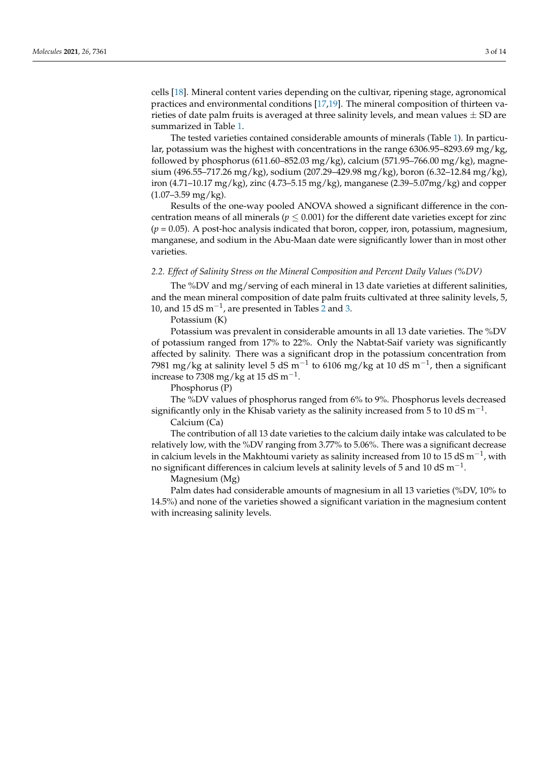cells [\[18\]](#page-14-4). Mineral content varies depending on the cultivar, ripening stage, agronomical practices and environmental conditions [\[17,](#page-14-3)[19\]](#page-14-5). The mineral composition of thirteen varieties of date palm fruits is averaged at three salinity levels, and mean values  $\pm$  SD are summarized in Table [1.](#page-4-0)

The tested varieties contained considerable amounts of minerals (Table [1\)](#page-4-0). In particular, potassium was the highest with concentrations in the range 6306.95–8293.69 mg/kg, followed by phosphorus (611.60–852.03 mg/kg), calcium (571.95–766.00 mg/kg), magnesium (496.55–717.26 mg/kg), sodium (207.29–429.98 mg/kg), boron (6.32–12.84 mg/kg), iron (4.71–10.17 mg/kg), zinc (4.73–5.15 mg/kg), manganese (2.39–5.07mg/kg) and copper  $(1.07-3.59 \text{ mg/kg})$ .

Results of the one-way pooled ANOVA showed a significant difference in the concentration means of all minerals ( $p \leq 0.001$ ) for the different date varieties except for zinc (*p* = 0.05). A post-hoc analysis indicated that boron, copper, iron, potassium, magnesium, manganese, and sodium in the Abu-Maan date were significantly lower than in most other varieties.

# *2.2. Effect of Salinity Stress on the Mineral Composition and Percent Daily Values (%DV)*

The %DV and mg/serving of each mineral in 13 date varieties at different salinities, and the mean mineral composition of date palm fruits cultivated at three salinity levels, 5, 10, and 15 dS  $m^{-1}$ , are presented in Tables [2](#page-4-1) and [3.](#page-5-0)

Potassium (K)

Potassium was prevalent in considerable amounts in all 13 date varieties. The %DV of potassium ranged from 17% to 22%. Only the Nabtat-Saif variety was significantly affected by salinity. There was a significant drop in the potassium concentration from 7981 mg/kg at salinity level 5 dS m<sup>-1</sup> to 6106 mg/kg at 10 dS m<sup>-1</sup>, then a significant increase to  $7308 \text{ mg/kg}$  at 15 dS m<sup>-1</sup>.

Phosphorus (P)

The %DV values of phosphorus ranged from 6% to 9%. Phosphorus levels decreased significantly only in the Khisab variety as the salinity increased from 5 to 10 dS m<sup>-1</sup>.

Calcium (Ca)

The contribution of all 13 date varieties to the calcium daily intake was calculated to be relatively low, with the %DV ranging from 3.77% to 5.06%. There was a significant decrease in calcium levels in the Makhtoumi variety as salinity increased from 10 to 15 dS  $\mathrm{m}^\mathrm{-1}$ , with no significant differences in calcium levels at salinity levels of 5 and 10 dS  $\mathrm{m}^{-1}.$ 

Magnesium (Mg)

Palm dates had considerable amounts of magnesium in all 13 varieties (%DV, 10% to 14.5%) and none of the varieties showed a significant variation in the magnesium content with increasing salinity levels.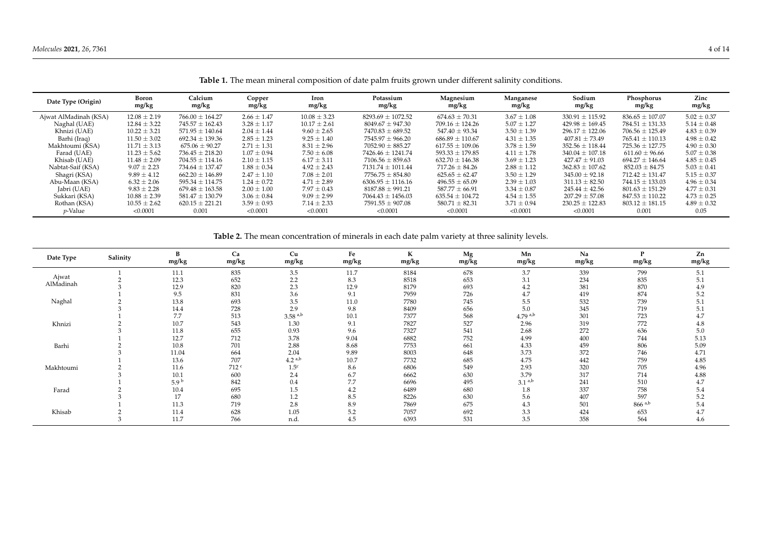| Date Type (Origin)    | Boron<br>mg/kg   | Calcium<br>mg/kg    | Copper<br>mg/kg | Iron<br>mg/kg    | Potassium<br>mg/kg    | Magnesium<br>mg/kg  | Manganese<br>mg/kg | Sodium<br>mg/kg     | Phosphorus<br>mg/kg | Zinc<br>mg/kg   |
|-----------------------|------------------|---------------------|-----------------|------------------|-----------------------|---------------------|--------------------|---------------------|---------------------|-----------------|
| Ajwat AlMadinah (KSA) | $12.08 \pm 2.19$ | $766.00 \pm 164.27$ | $2.66 \pm 1.47$ | $10.08 \pm 3.23$ | $8293.69 \pm 1072.52$ | $674.63 \pm 70.31$  | $3.67 \pm 1.08$    | $330.91 \pm 115.92$ | $836.65 \pm 107.07$ | $5.02 \pm 0.37$ |
| Naghal (UAE)          | $12.84 \pm 3.22$ | $745.57 \pm 162.43$ | $3.28 \pm 1.17$ | $10.17 \pm 2.61$ | $8049.67 \pm 947.30$  | $709.16 \pm 124.26$ | $5.07 \pm 1.27$    | $429.98 \pm 169.45$ | $784.51 \pm 131.33$ | $5.14 \pm 0.48$ |
| Khnizi (UAE)          | $10.22 \pm 3.21$ | $571.95 \pm 140.64$ | $2.04 \pm 1.44$ | $9.60 \pm 2.65$  | $7470.83 \pm 689.52$  | $547.40 \pm 93.34$  | $3.50 \pm 1.39$    | $296.17 \pm 122.06$ | $706.56 \pm 125.49$ | $4.83 \pm 0.39$ |
| Barhi (Iraq)          | $11.50 \pm 3.02$ | $692.34 \pm 139.36$ | $2.85 \pm 1.23$ | $9.25 \pm 1.40$  | $7545.97 \pm 966.20$  | $686.89 \pm 110.67$ | $4.31 \pm 1.35$    | $407.81 \pm 73.49$  | $765.41 \pm 110.13$ | $4.98 \pm 0.42$ |
| Makhtoumi (KSA)       | $11.71 \pm 3.13$ | $675.06 \pm 90.27$  | $2.71 \pm 1.31$ | $8.31 \pm 2.96$  | $7052.90 \pm 885.27$  | $617.55 \pm 109.06$ | $3.78 \pm 1.59$    | $352.56 \pm 118.44$ | $725.36 \pm 127.75$ | $4.90 \pm 0.30$ |
| Farad (UAE)           | $11.23 \pm 5.62$ | $736.45 \pm 218.20$ | $1.07 \pm 0.94$ | $7.50 \pm 6.08$  | $7426.46 \pm 1241.74$ | $593.33 \pm 179.85$ | $4.11 \pm 1.78$    | $340.04 \pm 107.18$ | $611.60 \pm 96.66$  | $5.07 \pm 0.38$ |
| Khisab (UAE)          | $11.48 \pm 2.09$ | $704.55 \pm 114.16$ | $2.10 \pm 1.15$ | $6.17 \pm 3.11$  | $7106.56 \pm 859.63$  | $632.70 \pm 146.38$ | $3.69 \pm 1.23$    | $427.47 \pm 91.03$  | $694.27 \pm 146.64$ | $4.85 \pm 0.45$ |
| Nabtat-Saif (KSA)     | $9.07 \pm 2.23$  | $734.64 \pm 137.47$ | $1.88 \pm 0.34$ | $4.92 \pm 2.43$  | $7131.74 \pm 1011.44$ | $717.26 \pm 84.26$  | $2.88 \pm 1.12$    | $362.83 \pm 107.62$ | $852.03 \pm 84.75$  | $5.03 \pm 0.41$ |
| Shagri (KSA)          | $9.89 \pm 4.12$  | $662.20 \pm 146.89$ | $2.47 \pm 1.10$ | $7.08 \pm 2.01$  | $7756.75 \pm 854.80$  | $625.65 \pm 62.47$  | $3.50 \pm 1.29$    | $345.00 \pm 92.18$  | $712.42 \pm 131.47$ | $5.15 \pm 0.37$ |
| Abu-Maan (KSA)        | $6.32 \pm 2.06$  | $595.34 \pm 114.75$ | $1.24 \pm 0.72$ | $4.71 \pm 2.89$  | $6306.95 \pm 1116.16$ | $496.55 \pm 65.09$  | $2.39 \pm 1.03$    | $311.13 \pm 82.50$  | $744.15 \pm 133.03$ | $4.96 \pm 0.34$ |
| Jabri (UAE)           | $9.83 \pm 2.28$  | $679.48 \pm 163.58$ | $2.00 \pm 1.00$ | $7.97 \pm 0.43$  | $8187.88 \pm 991.21$  | $587.77 \pm 66.91$  | $3.34 \pm 0.87$    | $245.44 + 42.56$    | $801.63 \pm 151.29$ | $4.77 \pm 0.31$ |
| Sukkari (KSA)         | $10.88 \pm 2.39$ | $581.47 \pm 130.79$ | $3.06 \pm 0.84$ | $9.09 \pm 2.99$  | $7064.43 \pm 1456.03$ | $635.54 \pm 104.72$ | $4.54 \pm 1.55$    | $207.29 \pm 57.08$  | $847.53 \pm 110.22$ | $4.73 \pm 0.25$ |
| Rothan (KSA)          | $10.55 \pm 2.62$ | $620.15 \pm 221.21$ | $3.59 \pm 0.93$ | $7.14 \pm 2.33$  | $7591.55 \pm 907.08$  | $580.71 \pm 82.31$  | $3.71 \pm 0.94$    | $230.25 \pm 122.83$ | $803.12 \pm 181.15$ | $4.89 \pm 0.32$ |
| <i>p</i> -Value       | < 0.0001         | 0.001               | < 0.0001        | < 0.0001         | < 0.0001              | < 0.0001            | < 0.0001           | < 0.0001            | 0.001               | 0.05            |

**Table 1.** The mean mineral composition of date palm fruits grown under different salinity conditions.

**Table 2.** The mean concentration of minerals in each date palm variety at three salinity levels.

<span id="page-4-1"></span><span id="page-4-0"></span>

| Date Type | Salinity | B<br>mg/kg       | Ca<br>mg/kg      | Cu<br>mg/kg           | Fe<br>mg/kg | $\mathbf{r}$<br>ĸ<br>mg/kg | Mg<br>mg/kg | Mn<br>mg/kg           | Na<br>mg/kg | D<br>mg/kg           | Zn<br>mg/kg |
|-----------|----------|------------------|------------------|-----------------------|-------------|----------------------------|-------------|-----------------------|-------------|----------------------|-------------|
|           |          | 11.1             | 835              | 3.5                   | 11.7        | 8184                       | 678         | 3.7                   | 339         | 799                  | 5.1         |
| Ajwat     |          | 12.3             | 652              | 2.2                   | 8.3         | 8518                       | 653         | 3.1                   | 234         | 835                  | 5.1         |
| AlMadinah |          | 12.9             | 820              | 2.3                   | 12.9        | 8179                       | 693         | 4.2                   | 381         | 870                  | 4.9         |
|           |          | 9.5              | 831              | 3.6                   | 9.1         | 7959                       | 726         | 4.7                   | 419         | 874                  | 5.2         |
| Naghal    |          | 13.8             | 693              | 3.5                   | 11.0        | 7780                       | 745         | 5.5                   | 532         | 739                  | 5.1         |
|           |          | 14.4             | 728              | 2.9                   | 9.8         | 8409                       | 656         | 5.0                   | 345         | 719                  | 5.1         |
|           |          | 7.7              | 513              | $3.58$ <sup>a,b</sup> | 10.1        | 7377                       | 568         | $4.79$ <sup>a,b</sup> | 301         | 723                  | 4.7         |
| Khnizi    |          | 10.7             | 543              | 1.30                  | 9.1         | 7827                       | 527         | 2.96                  | 319         | 772                  | 4.8         |
|           |          | 11.8             | 655              | 0.93                  | 9.6         | 7327                       | 541         | 2.68                  | 272         | 636                  | 5.0         |
|           |          | 12.7             | 712              | 3.78                  | 9.04        | 6882                       | 752         | 4.99                  | 400         | 744                  | 5.13        |
| Barhi     |          | 10.8             | 701              | 2.88                  | 8.68        | 7753                       | 661         | 4.33                  | 459         | 806                  | 5.09        |
|           |          | 11.04            | 664              | 2.04                  | 9.89        | 8003                       | 648         | 3.73                  | 372         | 746                  | 4.71        |
|           |          | 13.6             | 707              | 4.2 <sup>a,b</sup>    | 10.7        | 7732                       | 685         | 4.75                  | 442         | 759                  | 4.85        |
| Makhtoumi |          | 11.6             | 712 <sup>c</sup> | 1.5 <sup>c</sup>      | 8.6         | 6806                       | 549         | 2.93                  | 320         | 705                  | 4.96        |
|           |          | 10.1             | 600              | 2.4                   | 6.7         | 6662                       | 630         | 3.79                  | 317         | 714                  | 4.88        |
|           |          | 5.9 <sup>b</sup> | 842              | 0.4                   | 7.7         | 6696                       | 495         | $3.1^{a,b}$           | 241         | 510                  | 4.7         |
| Farad     |          | 10.4             | 695              | $1.5\,$               | 4.2         | 6489                       | 680         | $1.8\,$               | 337         | 758                  | 5.4         |
|           |          | 17               | 680              | 1.2                   | 8.5         | 8226                       | 630         | 5.6                   | 407         | 597                  | 5.2         |
|           |          | 11.3             | 719              | 2.8                   | 8.9         | 7869                       | 675         | 4.3                   | 501         | $866$ <sup>a,b</sup> | 5.4         |
| Khisab    |          | 11.4             | 628              | 1.05                  | 5.2         | 7057                       | 692         | 3.3                   | 424         | 653                  | 4.7         |
|           |          | 11.7             | 766              | n.d.                  | 4.5         | 6393                       | 531         | 3.5                   | 358         | 564                  | 4.6         |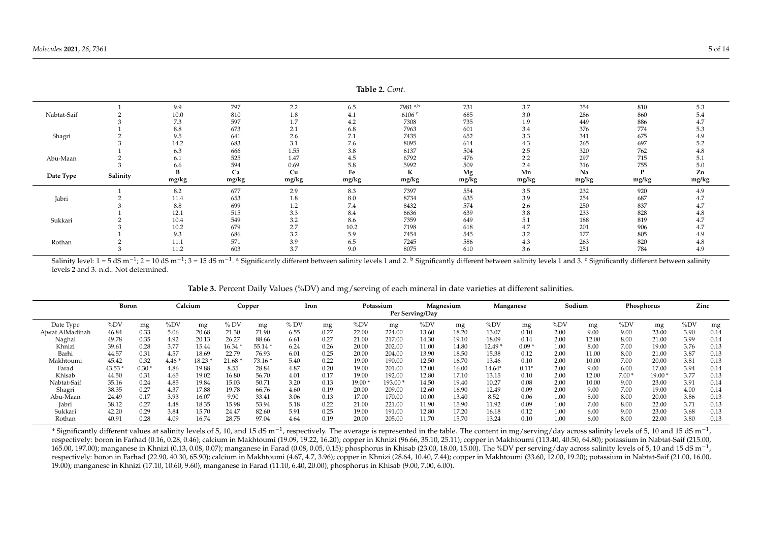|             |          |              |            |            |            | <b>Iddie 2.</b> Com. |            |            |            |            |            |
|-------------|----------|--------------|------------|------------|------------|----------------------|------------|------------|------------|------------|------------|
|             |          | 9.9          | 797        | 2.2        | 6.5        | 7981 a,b             | 731        | 3.7        | 354        | 810        | 5.3        |
| Nabtat-Saif |          | 10.0         | 810        | 1.8        | 4.1        | 6106 <sup>c</sup>    | 685        | 3.0        | 286        | 860        | 5.4        |
|             |          | 7.3          | 597        | 1.7        | 4.2        | 7308                 | 735        | 1.9        | 449        | 886        | 4.7        |
|             |          | 8.8          | 673        | 2.1        | 6.8        | 7963                 | 601        | 3.4        | 376        | 774        | 5.3        |
| Shagri      |          | 9.5          | 641        | 2.6        | 7.1        | 7435                 | 652        | 3.3        | 341        | 675        | 4.9        |
|             |          | 14.2         | 683        | 3.1        | 7.6        | 8095                 | 614        | 4.3        | 265        | 697        | 5.2        |
|             |          | 6.3          | 666        | 1.55       | 3.8        | 6137                 | 504        | 2.5        | 320        | 762        | 4.8        |
| Abu-Maan    |          | 6.1          | 525        | 1.47       | 4.5        | 6792                 | 476        | 2.2        | 297        | 715        | 5.1        |
|             |          | 6.6          | 594        | 0.69       | 5.8        | 5992                 | 509        | 2.4        | 316        | 755        | 5.0        |
|             |          | B            | Ca         | Cu         | Fe         | К                    | Mg         | Mn         | Na         |            | Zn         |
|             |          |              |            |            |            |                      |            |            |            |            |            |
| Date Type   | Salinity | mg/kg        | mg/kg      | mg/kg      | mg/kg      | mg/kg                | mg/kg      | mg/kg      | mg/kg      | mg/kg      | mg/kg      |
|             |          | 8.2          | 677        | 2.9        | 8.3        | 7397                 | 554        | 3.5        | 232        | 920        | 4.9        |
| Jabri       |          | 11.4         | 653        | 1.8        | 8.0        | 8734                 | 635        | 3.9        | 254        | 687        | 4.7        |
|             |          | 8.8          | 699        | 1.2        | 7.4        | 8432                 | 574        | 2.6        | 250        | 837        | 4.7        |
|             |          | 12.1         | 515        | 3.3        | 8.4        | 6636                 | 639        | 3.8        | 233        | 828        | 4.8        |
| Sukkari     |          | 10.4         | 549        | 3.2        | 8.6        | 7359                 | 649        | 5.1        | 188        | 819        | 4.7        |
|             |          | 10.2         | 679        | 2.7        | 10.2       | 7198                 | 618        | 4.7        | 201        | 906        | 4.7        |
|             |          | 9.3          | 686        | 3.2        | 5.9        | 7454                 | 545        | 3.2        | 177        | 805        | 4.9        |
| Rothan      |          | 11.1<br>11.2 | 571<br>603 | 3.9<br>3.7 | 6.5<br>9.0 | 7245<br>8075         | 586<br>610 | 4.3<br>3.6 | 263<br>251 | 820<br>784 | 4.8<br>4.9 |

Salinity level: 1 = 5 dS m<sup>-1</sup>; 2 = 10 dS m<sup>-1</sup>; 3 = 15 dS m<sup>-1</sup>. <sup>a</sup> Significantly different between salinity different between salinity levels 1 and 3. <sup>c</sup> Significantly different between salinity levels 1 and 3. <sup>c</sup> Si levels 2 and 3. n.d.: Not determined.

|                 | <b>Boron</b> |         |      | Calcium | Copper   |         | Iron |      |          | Potassium | Per Serving/Day | Magnesium | Manganese |         |      | Sodium |         | Phosphorus | Zinc |      |
|-----------------|--------------|---------|------|---------|----------|---------|------|------|----------|-----------|-----------------|-----------|-----------|---------|------|--------|---------|------------|------|------|
| Date Type       | %DV          | mg      | %DV  | mg      | % DV     | mg      | %DV  | mg   | $\%DV$   | mg        | $\%DV$          | mg        | %DV       | mg      | %DV  | mg     | $\%DV$  | mg         | %DV  | mg   |
| Ajwat AlMadinah | 46.84        | 0.33    | 5.06 | 20.68   | 21.30    | 71.90   | 6.55 | 0.27 | 22.00    | 224.00    | 13.60           | 18.20     | 13.07     | 0.10    | 2.00 | 9.00   | 9.00    | 23.00      | 3.90 | 0.14 |
| Naghal          | 49.78        | 0.35    | 4.92 | 20.13   | 26.27    | 88.66   | 6.61 | 0.27 | 21.00    | 217.00    | 14.30           | 19.10     | 18.09     | 0.14    | 2.00 | 12.00  | 8.00    | 21.00      | 3.99 | 0.14 |
| Khnizi          | 39.61        | 0.28    | 3.77 | 15.44   | $16.34*$ | 55.14 * | 6.24 | 0.26 | 20.00    | 202.00    | 11.00           | 14.80     | $12.49*$  | $0.09*$ | 1.00 | 8.00   | 7.00    | 19.00      | 3.76 | 0.13 |
| Barhi           | 44.57        | 0.31    | 4.57 | 18.69   | 22.79    | 76.93   | 6.01 | 0.25 | 20.00    | 204.00    | 13.90           | 18.50     | 15.38     | 0.12    | 2.00 | 11.00  | 8.00    | 21.00      | 3.87 | 0.13 |
| Makhtoumi       | 45.42        | 0.32    | 4.46 | 18.23   | 21.68    | 73.16*  | 5.40 | 0.22 | 19.00    | 190.00    | 12.50           | 16.70     | 13.46     | 0.10    | 2.00 | 10.00  | 7.00    | 20.00      | 3.81 | 0.13 |
| Farad           | 43.53 *      | $0.30*$ | 4.86 | 19.88   | 8.55     | 28.84   | 4.87 | 0.20 | 19.00    | 201.00    | 12.00           | 16.00     | 14.64*    | $0.11*$ | 2.00 | 9.00   | 6.00    | 17.00      | 3.94 | 0.14 |
| Khisab          | 44.50        | 0.31    | 4.65 | 19.02   | 16.80    | 56.70   | 4.01 | 0.17 | 19.00    | 192.00    | 12.80           | 17.10     | 13.15     | 0.10    | 2.00 | 12.00  | $7.00*$ | $19.00*$   | 3.77 | 0.13 |
| Nabtat-Saif     | 35.16        | 0.24    | 4.85 | 19.84   | 15.03    | 50.71   | 3.20 | 0.13 | $19.00*$ | 193.00    | 14.50           | 19.40     | 10.27     | 0.08    | 2.00 | 10.00  | 9.00    | 23.00      | 3.91 | 0.14 |
| Shagri          | 38.35        | 0.27    | 4.37 | 17.88   | 19.78    | 66.76   | 4.60 | 0.19 | 20.00    | 209.00    | 12.60           | 16.90     | 12.49     | 0.09    | 2.00 | 9.00   | 7.00    | 19.00      | 4.00 | 0.14 |
| Abu-Maan        | 24.49        | 0.17    | 3.93 | 16.07   | 9.90     | 33.41   | 3.06 | 0.13 | 17.00    | 170.00    | 10.00           | 13.40     | 8.52      | 0.06    | 1.00 | 8.00   | 8.00    | 20.00      | 3.86 | 0.13 |
| Jabri           | 38.12        | 0.27    | 4.48 | 18.35   | 15.98    | 53.94   | 5.18 | 0.22 | 21.00    | 221.00    | 11.90           | 15.90     | 11.92     | 0.09    | 1.00 | 7.00   | 8.00    | 22.00      | 3.71 | 0.13 |
| Sukkari         | 42.20        | 0.29    | 3.84 | 15.70   | 24.47    | 82.60   | 5.91 | 0.25 | 19.00    | 191.00    | 12.80           | 17.20     | 16.18     | 0.12    | 1.00 | 6.00   | 9.00    | 23.00      | 3.68 | 0.13 |
| Rothan          | 40.91        | 0.28    | 4.09 | 16.74   | 28.75    | 97.04   | 4.64 | 0.19 | 20.00    | 205.00    | 11.70           | 15.70     | 13.24     | 0.10    | 1.00 | 6.00   | 8.00    | 22.00      | 3.80 | 0.13 |

**Table 3.** Percent Daily Values (%DV) and mg/serving of each mineral in date varieties at different salinities.

<span id="page-5-0"></span>\* Significantly different values at salinity levels of 5, 10, and 15 dS m<sup>-1</sup>, respectively. The average is represented in the table. The content in mg/serving/day across salinity levels of 5, 10 and 15 dS m<sup>-1</sup>, respectively: boron in Farhad (0.16, 0.28, 0.46); calcium in Makhtoumi (19.09, 19.22, 16.20); copper in Khnizi (96.66, 35.10, 25.11); copper in Makhtoumi (113.40, 40.50, 64.80); potassium in Nabtat-Saif (215.00, 165.00, 197.00); manganese in Khnizi (0.13, 0.08, 0.07); manganese in Farad (0.08, 0.05, 0.15); phosphorus in Khisab (23.00, 18.00, 15.00). The %DV per serving/day across salinity levels of 5, 10 and 15 dS m<sup>-1</sup>, respectively: boron in Farhad (22.90, 40.30, 65.90); calcium in Makhtoumi (4.67, 4.7, 3.96); copper in Khnizi (28.64, 10.40, 7.44); copper in Makhtoumi (33.60, 12.00, 19.20); potassium in Nabtat-Saif (21.00, 16.00, 19.00); manganese in Khnizi (17.10, 10.60, 9.60); manganese in Farad (11.10, 6.40, 20.00); phosphorus in Khisab (9.00, 7.00, 6.00).

**Table 2.** *Cont.*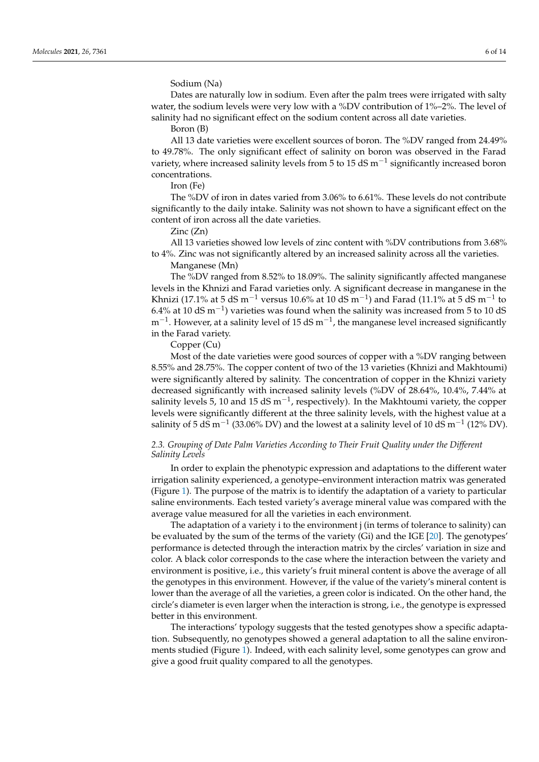Sodium (Na)

Dates are naturally low in sodium. Even after the palm trees were irrigated with salty water, the sodium levels were very low with a %DV contribution of 1%–2%. The level of salinity had no significant effect on the sodium content across all date varieties.

Boron (B)

All 13 date varieties were excellent sources of boron. The %DV ranged from 24.49% to 49.78%. The only significant effect of salinity on boron was observed in the Farad variety, where increased salinity levels from 5 to 15 dS  $\text{m}^{-1}$  significantly increased boron concentrations.

Iron (Fe)

The %DV of iron in dates varied from 3.06% to 6.61%. These levels do not contribute significantly to the daily intake. Salinity was not shown to have a significant effect on the content of iron across all the date varieties.

Zinc (Zn)

All 13 varieties showed low levels of zinc content with %DV contributions from 3.68% to 4%. Zinc was not significantly altered by an increased salinity across all the varieties.

Manganese (Mn)

The %DV ranged from 8.52% to 18.09%. The salinity significantly affected manganese levels in the Khnizi and Farad varieties only. A significant decrease in manganese in the Khnizi (17.1% at 5 dS m $^{-1}$  versus 10.6% at 10 dS m $^{-1}$ ) and Farad (11.1% at 5 dS m $^{-1}$  to 6.4% at 10 dS m<sup>-1</sup>) varieties was found when the salinity was increased from 5 to 10 dS m<sup>-1</sup>. However, at a salinity level of 15 dS m<sup>-1</sup>, the manganese level increased significantly in the Farad variety.

Copper (Cu)

Most of the date varieties were good sources of copper with a %DV ranging between 8.55% and 28.75%. The copper content of two of the 13 varieties (Khnizi and Makhtoumi) were significantly altered by salinity. The concentration of copper in the Khnizi variety decreased significantly with increased salinity levels (%DV of 28.64%, 10.4%, 7.44% at salinity levels 5, 10 and 15 dS m<sup>-1</sup>, respectively). In the Makhtoumi variety, the copper levels were significantly different at the three salinity levels, with the highest value at a salinity of 5 dS m $^{-1}$  (33.06% DV) and the lowest at a salinity level of 10 dS m $^{-1}$  (12% DV).

# *2.3. Grouping of Date Palm Varieties According to Their Fruit Quality under the Different Salinity Levels*

In order to explain the phenotypic expression and adaptations to the different water irrigation salinity experienced, a genotype–environment interaction matrix was generated (Figure [1\)](#page-7-0). The purpose of the matrix is to identify the adaptation of a variety to particular saline environments. Each tested variety's average mineral value was compared with the average value measured for all the varieties in each environment.

The adaptation of a variety i to the environment j (in terms of tolerance to salinity) can be evaluated by the sum of the terms of the variety (Gi) and the IGE [\[20\]](#page-14-6). The genotypes' performance is detected through the interaction matrix by the circles' variation in size and color. A black color corresponds to the case where the interaction between the variety and environment is positive, i.e., this variety's fruit mineral content is above the average of all the genotypes in this environment. However, if the value of the variety's mineral content is lower than the average of all the varieties, a green color is indicated. On the other hand, the circle's diameter is even larger when the interaction is strong, i.e., the genotype is expressed better in this environment.

The interactions' typology suggests that the tested genotypes show a specific adaptation. Subsequently, no genotypes showed a general adaptation to all the saline environments studied (Figure [1\)](#page-7-0). Indeed, with each salinity level, some genotypes can grow and give a good fruit quality compared to all the genotypes.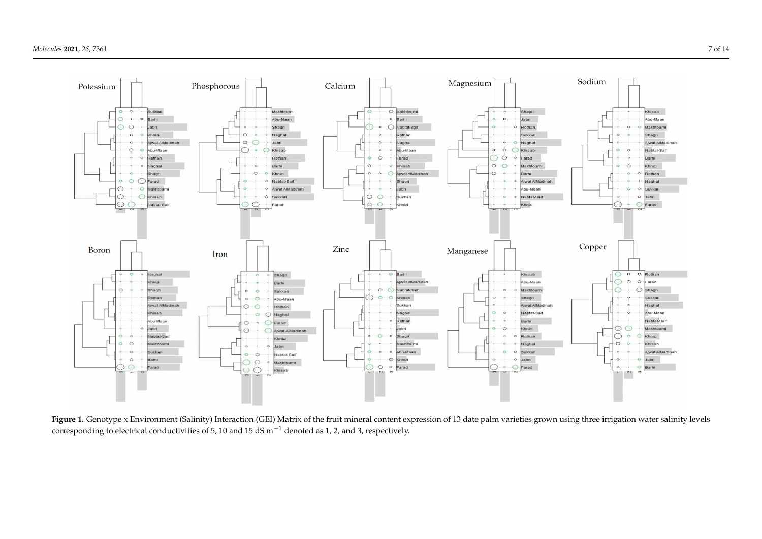

<span id="page-7-0"></span>Figure 1. Genotype x Environment (Salinity) Interaction (GEI) Matrix of the fruit mineral content expression of 13 date palm varieties grown using three irrigation water salinity levels corresponding to electrical conductivities of 5, 10 and 15 dS m−<sup>1</sup> denoted as 1, 2, and 3, respectively.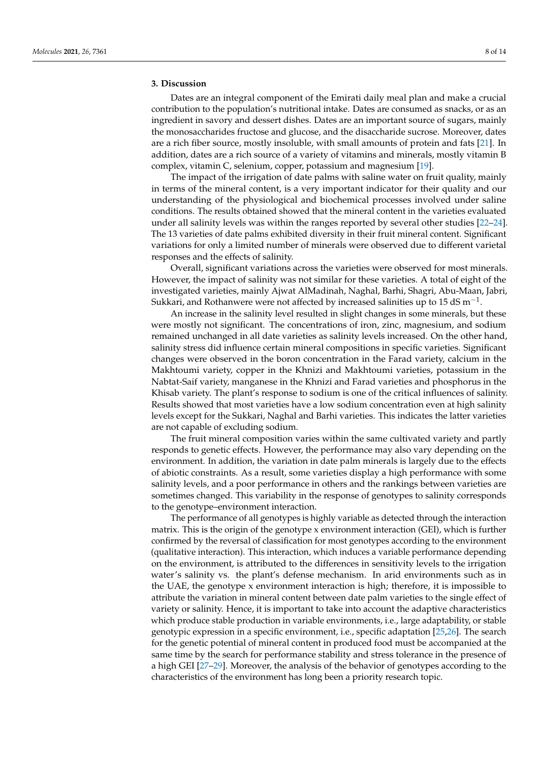#### **3. Discussion**

Dates are an integral component of the Emirati daily meal plan and make a crucial contribution to the population's nutritional intake. Dates are consumed as snacks, or as an ingredient in savory and dessert dishes. Dates are an important source of sugars, mainly the monosaccharides fructose and glucose, and the disaccharide sucrose. Moreover, dates are a rich fiber source, mostly insoluble, with small amounts of protein and fats [\[21\]](#page-14-7). In addition, dates are a rich source of a variety of vitamins and minerals, mostly vitamin B complex, vitamin C, selenium, copper, potassium and magnesium [\[19\]](#page-14-5).

The impact of the irrigation of date palms with saline water on fruit quality, mainly in terms of the mineral content, is a very important indicator for their quality and our understanding of the physiological and biochemical processes involved under saline conditions. The results obtained showed that the mineral content in the varieties evaluated under all salinity levels was within the ranges reported by several other studies [\[22](#page-14-8)[–24\]](#page-14-9). The 13 varieties of date palms exhibited diversity in their fruit mineral content. Significant variations for only a limited number of minerals were observed due to different varietal responses and the effects of salinity.

Overall, significant variations across the varieties were observed for most minerals. However, the impact of salinity was not similar for these varieties. A total of eight of the investigated varieties, mainly Ajwat AlMadinah, Naghal, Barhi, Shagri, Abu-Maan, Jabri, Sukkari, and Rothanwere were not affected by increased salinities up to 15 dS  $\text{m}^{-1}$ .

An increase in the salinity level resulted in slight changes in some minerals, but these were mostly not significant. The concentrations of iron, zinc, magnesium, and sodium remained unchanged in all date varieties as salinity levels increased. On the other hand, salinity stress did influence certain mineral compositions in specific varieties. Significant changes were observed in the boron concentration in the Farad variety, calcium in the Makhtoumi variety, copper in the Khnizi and Makhtoumi varieties, potassium in the Nabtat-Saif variety, manganese in the Khnizi and Farad varieties and phosphorus in the Khisab variety. The plant's response to sodium is one of the critical influences of salinity. Results showed that most varieties have a low sodium concentration even at high salinity levels except for the Sukkari, Naghal and Barhi varieties. This indicates the latter varieties are not capable of excluding sodium.

The fruit mineral composition varies within the same cultivated variety and partly responds to genetic effects. However, the performance may also vary depending on the environment. In addition, the variation in date palm minerals is largely due to the effects of abiotic constraints. As a result, some varieties display a high performance with some salinity levels, and a poor performance in others and the rankings between varieties are sometimes changed. This variability in the response of genotypes to salinity corresponds to the genotype–environment interaction.

The performance of all genotypes is highly variable as detected through the interaction matrix. This is the origin of the genotype x environment interaction (GEI), which is further confirmed by the reversal of classification for most genotypes according to the environment (qualitative interaction). This interaction, which induces a variable performance depending on the environment, is attributed to the differences in sensitivity levels to the irrigation water's salinity vs. the plant's defense mechanism. In arid environments such as in the UAE, the genotype x environment interaction is high; therefore, it is impossible to attribute the variation in mineral content between date palm varieties to the single effect of variety or salinity. Hence, it is important to take into account the adaptive characteristics which produce stable production in variable environments, i.e., large adaptability, or stable genotypic expression in a specific environment, i.e., specific adaptation [\[25](#page-14-10)[,26\]](#page-14-11). The search for the genetic potential of mineral content in produced food must be accompanied at the same time by the search for performance stability and stress tolerance in the presence of a high GEI [\[27–](#page-14-12)[29\]](#page-14-13). Moreover, the analysis of the behavior of genotypes according to the characteristics of the environment has long been a priority research topic.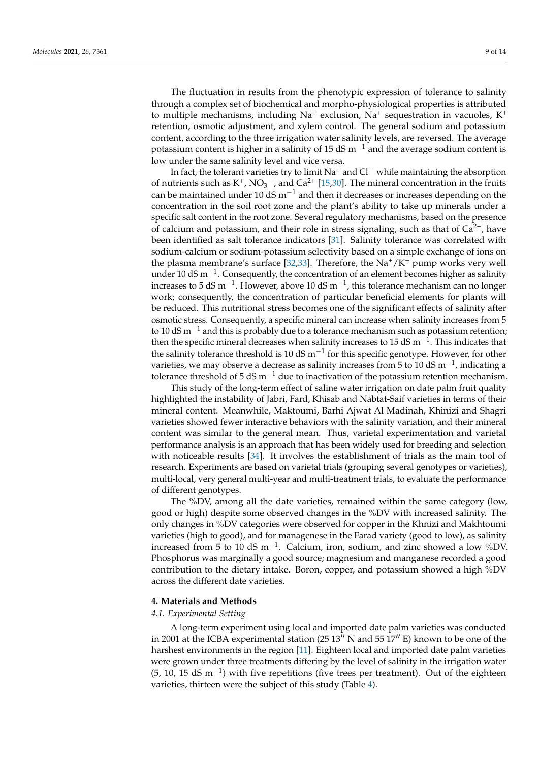The fluctuation in results from the phenotypic expression of tolerance to salinity through a complex set of biochemical and morpho-physiological properties is attributed to multiple mechanisms, including Na<sup>+</sup> exclusion, Na<sup>+</sup> sequestration in vacuoles, K<sup>+</sup> retention, osmotic adjustment, and xylem control. The general sodium and potassium content, according to the three irrigation water salinity levels, are reversed. The average potassium content is higher in a salinity of 15 dS  $m^{-1}$  and the average sodium content is low under the same salinity level and vice versa.

In fact, the tolerant varieties try to limit Na<sup>+</sup> and Cl<sup>−</sup> while maintaining the absorption of nutrients such as  $K^+$ ,  $NO_3^-$ , and  $Ca^{2+}$  [\[15,](#page-14-1)[30\]](#page-14-14). The mineral concentration in the fruits can be maintained under 10 dS  $m^{-1}$  and then it decreases or increases depending on the concentration in the soil root zone and the plant's ability to take up minerals under a specific salt content in the root zone. Several regulatory mechanisms, based on the presence of calcium and potassium, and their role in stress signaling, such as that of  $Ca<sup>2+</sup>$ , have been identified as salt tolerance indicators [\[31\]](#page-14-15). Salinity tolerance was correlated with sodium-calcium or sodium-potassium selectivity based on a simple exchange of ions on the plasma membrane's surface [\[32,](#page-14-16)[33\]](#page-14-17). Therefore, the  $Na^+/K^+$  pump works very well under 10 dS m−<sup>1</sup> . Consequently, the concentration of an element becomes higher as salinity increases to 5 dS m<sup>-1</sup>. However, above 10 dS m<sup>-1</sup>, this tolerance mechanism can no longer work; consequently, the concentration of particular beneficial elements for plants will be reduced. This nutritional stress becomes one of the significant effects of salinity after osmotic stress. Consequently, a specific mineral can increase when salinity increases from 5 to 10 dS m<sup>-1</sup> and this is probably due to a tolerance mechanism such as potassium retention; then the specific mineral decreases when salinity increases to 15 dS m<sup>-1</sup>. This indicates that the salinity tolerance threshold is 10 dS m<sup>-1</sup> for this specific genotype. However, for other varieties, we may observe a decrease as salinity increases from 5 to 10 dS m<sup>-1</sup>, indicating a tolerance threshold of 5 dS m<sup>-1</sup> due to inactivation of the potassium retention mechanism.

This study of the long-term effect of saline water irrigation on date palm fruit quality highlighted the instability of Jabri, Fard, Khisab and Nabtat-Saif varieties in terms of their mineral content. Meanwhile, Maktoumi, Barhi Ajwat Al Madinah, Khinizi and Shagri varieties showed fewer interactive behaviors with the salinity variation, and their mineral content was similar to the general mean. Thus, varietal experimentation and varietal performance analysis is an approach that has been widely used for breeding and selection with noticeable results [\[34\]](#page-14-18). It involves the establishment of trials as the main tool of research. Experiments are based on varietal trials (grouping several genotypes or varieties), multi-local, very general multi-year and multi-treatment trials, to evaluate the performance of different genotypes.

The %DV, among all the date varieties, remained within the same category (low, good or high) despite some observed changes in the %DV with increased salinity. The only changes in %DV categories were observed for copper in the Khnizi and Makhtoumi varieties (high to good), and for managenese in the Farad variety (good to low), as salinity increased from 5 to 10 dS m<sup>-1</sup>. Calcium, iron, sodium, and zinc showed a low %DV. Phosphorus was marginally a good source; magnesium and manganese recorded a good contribution to the dietary intake. Boron, copper, and potassium showed a high %DV across the different date varieties.

#### **4. Materials and Methods**

#### *4.1. Experimental Setting*

A long-term experiment using local and imported date palm varieties was conducted in 2001 at the ICBA experimental station (25  $13''$  N and 55  $17''$  E) known to be one of the harshest environments in the region [\[11\]](#page-13-10). Eighteen local and imported date palm varieties were grown under three treatments differing by the level of salinity in the irrigation water (5, 10, 15 dS m−<sup>1</sup> ) with five repetitions (five trees per treatment). Out of the eighteen varieties, thirteen were the subject of this study (Table [4\)](#page-10-0).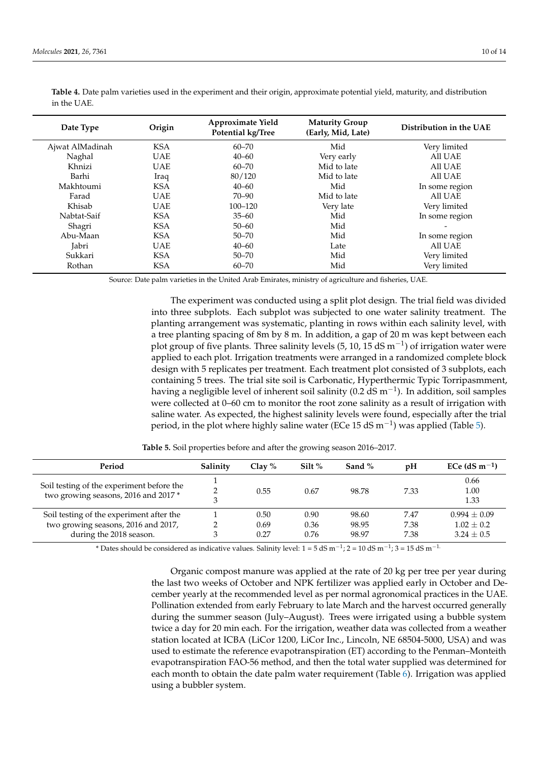| Date Type       | Origin     | Approximate Yield<br>Potential kg/Tree | <b>Maturity Group</b><br>(Early, Mid, Late) | Distribution in the UAE |  |  |
|-----------------|------------|----------------------------------------|---------------------------------------------|-------------------------|--|--|
| Ajwat AlMadinah | <b>KSA</b> | $60 - 70$                              | Mid                                         | Very limited            |  |  |
| Naghal          | UAE        | $40 - 60$                              | Very early                                  | All UAE                 |  |  |
| Khnizi          | <b>UAE</b> | $60 - 70$                              | Mid to late                                 | All UAE                 |  |  |
| Barhi           | Iraq       | 80/120                                 | Mid to late                                 | All UAE                 |  |  |
| Makhtoumi       | <b>KSA</b> | $40 - 60$                              | Mid                                         | In some region          |  |  |
| Farad           | <b>UAE</b> | 70–90                                  | Mid to late                                 | All UAE                 |  |  |
| Khisab          | <b>UAE</b> | $100 - 120$                            | Very late                                   | Very limited            |  |  |
| Nabtat-Saif     | <b>KSA</b> | $35 - 60$                              | Mid                                         | In some region          |  |  |
| Shagri          | <b>KSA</b> | $50 - 60$                              | Mid                                         |                         |  |  |
| Abu-Maan        | <b>KSA</b> | $50 - 70$                              | Mid                                         | In some region          |  |  |
| Jabri           | <b>UAE</b> | $40 - 60$                              | Late                                        | All UAE                 |  |  |
| Sukkari         | <b>KSA</b> | $50 - 70$                              | Mid                                         | Very limited            |  |  |
| Rothan          | <b>KSA</b> | $60 - 70$                              | Mid                                         | Very limited            |  |  |

<span id="page-10-0"></span>**Table 4.** Date palm varieties used in the experiment and their origin, approximate potential yield, maturity, and distribution in the UAE.

Source: Date palm varieties in the United Arab Emirates, ministry of agriculture and fisheries, UAE.

The experiment was conducted using a split plot design. The trial field was divided into three subplots. Each subplot was subjected to one water salinity treatment. The planting arrangement was systematic, planting in rows within each salinity level, with a tree planting spacing of 8m by 8 m. In addition, a gap of 20 m was kept between each plot group of five plants. Three salinity levels (5, 10, 15 dS m<sup>-1</sup>) of irrigation water were applied to each plot. Irrigation treatments were arranged in a randomized complete block design with 5 replicates per treatment. Each treatment plot consisted of 3 subplots, each containing 5 trees. The trial site soil is Carbonatic, Hyperthermic Typic Torripasmment, having a negligible level of inherent soil salinity (0.2 dS m−<sup>1</sup> ). In addition, soil samples were collected at 0–60 cm to monitor the root zone salinity as a result of irrigation with saline water. As expected, the highest salinity levels were found, especially after the trial period, in the plot where highly saline water (ECe 15 dS m<sup>-1</sup>) was applied (Table [5\)](#page-10-1).

<span id="page-10-1"></span>

| Period                                                                                                     | Salinity | Clay $%$             | Silt $%$             | Sand $%$                | $\mathbf{p}$ H       | ECe $(dS m^{-1})$                                |
|------------------------------------------------------------------------------------------------------------|----------|----------------------|----------------------|-------------------------|----------------------|--------------------------------------------------|
| Soil testing of the experiment before the<br>two growing seasons, 2016 and 2017*                           |          | 0.55                 | 0.67                 | 98.78                   | 7.33                 | 0.66<br>1.00<br>1.33                             |
| Soil testing of the experiment after the<br>two growing seasons, 2016 and 2017,<br>during the 2018 season. |          | 0.50<br>0.69<br>0.27 | 0.90<br>0.36<br>0.76 | 98.60<br>98.95<br>98.97 | 7.47<br>7.38<br>7.38 | $0.994 + 0.09$<br>$1.02 \pm 0.2$<br>$3.24 + 0.5$ |

**Table 5.** Soil properties before and after the growing season 2016–2017.

\* Dates should be considered as indicative values. Salinity level: 1 = 5 dS m<sup>-1</sup>; 2 = 10 dS m<sup>-1</sup>; 3 = 15 dS m<sup>-1</sup>

Organic compost manure was applied at the rate of 20 kg per tree per year during the last two weeks of October and NPK fertilizer was applied early in October and December yearly at the recommended level as per normal agronomical practices in the UAE. Pollination extended from early February to late March and the harvest occurred generally during the summer season (July–August). Trees were irrigated using a bubble system twice a day for 20 min each. For the irrigation, weather data was collected from a weather station located at ICBA (LiCor 1200, LiCor Inc., Lincoln, NE 68504-5000, USA) and was used to estimate the reference evapotranspiration (ET) according to the Penman–Monteith evapotranspiration FAO-56 method, and then the total water supplied was determined for each month to obtain the date palm water requirement (Table [6\)](#page-11-0). Irrigation was applied using a bubbler system.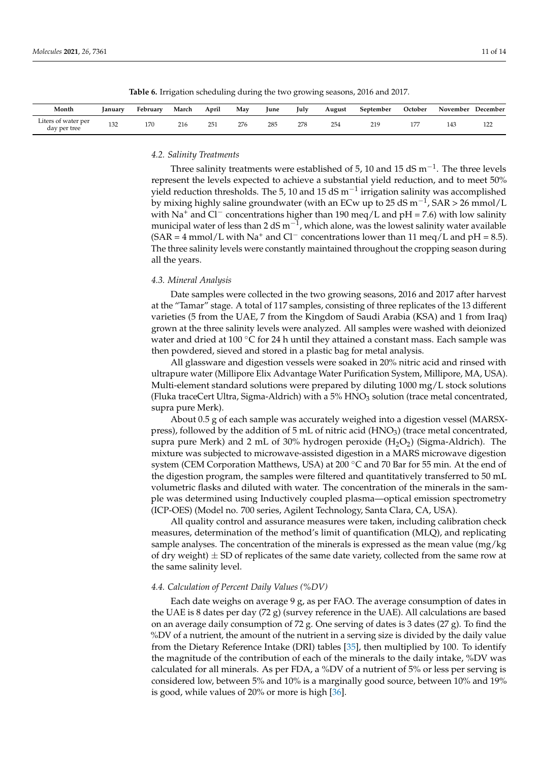<span id="page-11-0"></span>

| Month                               | January | February | March | April | May | June | July | August | September | October | November | December |
|-------------------------------------|---------|----------|-------|-------|-----|------|------|--------|-----------|---------|----------|----------|
| Liters of water per<br>day per tree | 132     | 170      | 216   | 251   | 276 | 285  | 278  | 254    | 219       | 177     | 143      | 122      |

**Table 6.** Irrigation scheduling during the two growing seasons, 2016 and 2017.

## *4.2. Salinity Treatments*

Three salinity treatments were established of 5, 10 and 15 dS  $m^{-1}$ . The three levels represent the levels expected to achieve a substantial yield reduction, and to meet 50% yield reduction thresholds. The 5, 10 and 15 dS  $m^{-1}$  irrigation salinity was accomplished by mixing highly saline groundwater (with an ECw up to 25 dS m $^{-1}$ , SAR > 26 mmol/L with Na<sup>+</sup> and Cl<sup>−</sup> concentrations higher than 190 meq/L and pH = 7.6) with low salinity municipal water of less than 2 dS m $^{-1}$ , which alone, was the lowest salinity water available  $(SAR = 4$  mmol/L with Na<sup>+</sup> and Cl<sup>−</sup> concentrations lower than 11 meq/L and pH = 8.5). The three salinity levels were constantly maintained throughout the cropping season during all the years.

#### *4.3. Mineral Analysis*

Date samples were collected in the two growing seasons, 2016 and 2017 after harvest at the "Tamar" stage. A total of 117 samples, consisting of three replicates of the 13 different varieties (5 from the UAE, 7 from the Kingdom of Saudi Arabia (KSA) and 1 from Iraq) grown at the three salinity levels were analyzed. All samples were washed with deionized water and dried at 100 °C for 24 h until they attained a constant mass. Each sample was then powdered, sieved and stored in a plastic bag for metal analysis.

All glassware and digestion vessels were soaked in 20% nitric acid and rinsed with ultrapure water (Millipore Elix Advantage Water Purification System, Millipore, MA, USA). Multi-element standard solutions were prepared by diluting 1000 mg/L stock solutions (Fluka traceCert Ultra, Sigma-Aldrich) with a 5% HNO<sub>3</sub> solution (trace metal concentrated, supra pure Merk).

About 0.5 g of each sample was accurately weighed into a digestion vessel (MARSXpress), followed by the addition of 5 mL of nitric acid (HNO<sub>3</sub>) (trace metal concentrated, supra pure Merk) and 2 mL of 30% hydrogen peroxide  $(H_2O_2)$  (Sigma-Aldrich). The mixture was subjected to microwave-assisted digestion in a MARS microwave digestion system (CEM Corporation Matthews, USA) at 200 °C and 70 Bar for 55 min. At the end of the digestion program, the samples were filtered and quantitatively transferred to 50 mL volumetric flasks and diluted with water. The concentration of the minerals in the sample was determined using Inductively coupled plasma—optical emission spectrometry (ICP-OES) (Model no. 700 series, Agilent Technology, Santa Clara, CA, USA).

All quality control and assurance measures were taken, including calibration check measures, determination of the method's limit of quantification (MLQ), and replicating sample analyses. The concentration of the minerals is expressed as the mean value (mg/kg of dry weight)  $\pm$  SD of replicates of the same date variety, collected from the same row at the same salinity level.

#### *4.4. Calculation of Percent Daily Values (%DV)*

Each date weighs on average 9 g, as per FAO. The average consumption of dates in the UAE is 8 dates per day  $(72 g)$  (survey reference in the UAE). All calculations are based on an average daily consumption of 72 g. One serving of dates is 3 dates (27 g). To find the %DV of a nutrient, the amount of the nutrient in a serving size is divided by the daily value from the Dietary Reference Intake (DRI) tables [\[35\]](#page-14-19), then multiplied by 100. To identify the magnitude of the contribution of each of the minerals to the daily intake, %DV was calculated for all minerals. As per FDA, a %DV of a nutrient of 5% or less per serving is considered low, between 5% and 10% is a marginally good source, between 10% and 19% is good, while values of 20% or more is high [\[36\]](#page-14-20).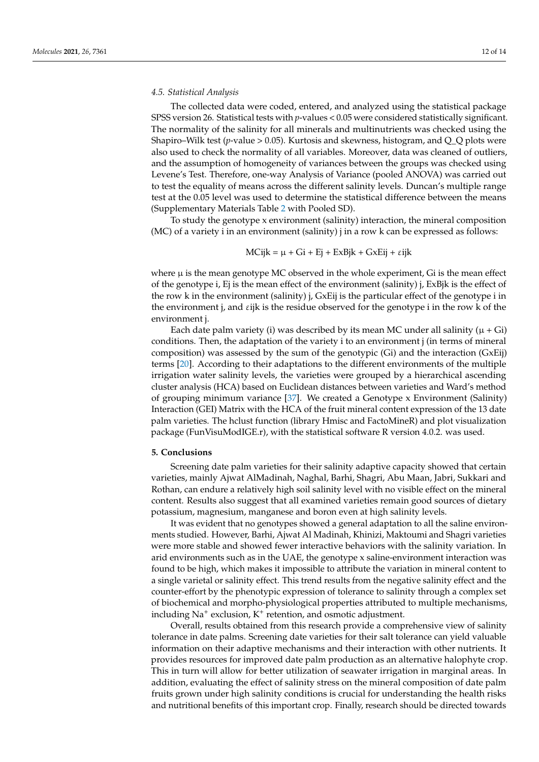#### *4.5. Statistical Analysis*

The collected data were coded, entered, and analyzed using the statistical package SPSS version 26. Statistical tests with *p*-values < 0.05 were considered statistically significant. The normality of the salinity for all minerals and multinutrients was checked using the Shapiro–Wilk test (*p*-value > 0.05). Kurtosis and skewness, histogram, and  $Q_{\text{Q}}$  plots were also used to check the normality of all variables. Moreover, data was cleaned of outliers, and the assumption of homogeneity of variances between the groups was checked using Levene's Test. Therefore, one-way Analysis of Variance (pooled ANOVA) was carried out to test the equality of means across the different salinity levels. Duncan's multiple range test at the 0.05 level was used to determine the statistical difference between the means (Supplementary Materials Table [2](#page-4-1) with Pooled SD).

To study the genotype x environment (salinity) interaction, the mineral composition (MC) of a variety i in an environment (salinity) j in a row k can be expressed as follows:

## $MCijk = \mu + Gi + Ej + ExBjk + GxEij + \varepsilon ijk$

where  $\mu$  is the mean genotype MC observed in the whole experiment, Gi is the mean effect of the genotype i, Ej is the mean effect of the environment (salinity) j, ExBjk is the effect of the row k in the environment (salinity) j, GxEij is the particular effect of the genotype i in the environment j, and εijk is the residue observed for the genotype i in the row k of the environment j.

Each date palm variety (i) was described by its mean MC under all salinity ( $\mu$  + Gi) conditions. Then, the adaptation of the variety i to an environment j (in terms of mineral composition) was assessed by the sum of the genotypic (Gi) and the interaction (GxEij) terms [\[20\]](#page-14-6). According to their adaptations to the different environments of the multiple irrigation water salinity levels, the varieties were grouped by a hierarchical ascending cluster analysis (HCA) based on Euclidean distances between varieties and Ward's method of grouping minimum variance [\[37\]](#page-14-21). We created a Genotype x Environment (Salinity) Interaction (GEI) Matrix with the HCA of the fruit mineral content expression of the 13 date palm varieties. The hclust function (library Hmisc and FactoMineR) and plot visualization package (FunVisuModIGE.r), with the statistical software R version 4.0.2. was used.

### **5. Conclusions**

Screening date palm varieties for their salinity adaptive capacity showed that certain varieties, mainly Ajwat AlMadinah, Naghal, Barhi, Shagri, Abu Maan, Jabri, Sukkari and Rothan, can endure a relatively high soil salinity level with no visible effect on the mineral content. Results also suggest that all examined varieties remain good sources of dietary potassium, magnesium, manganese and boron even at high salinity levels.

It was evident that no genotypes showed a general adaptation to all the saline environments studied. However, Barhi, Ajwat Al Madinah, Khinizi, Maktoumi and Shagri varieties were more stable and showed fewer interactive behaviors with the salinity variation. In arid environments such as in the UAE, the genotype x saline-environment interaction was found to be high, which makes it impossible to attribute the variation in mineral content to a single varietal or salinity effect. This trend results from the negative salinity effect and the counter-effort by the phenotypic expression of tolerance to salinity through a complex set of biochemical and morpho-physiological properties attributed to multiple mechanisms, including Na<sup>+</sup> exclusion, K<sup>+</sup> retention, and osmotic adjustment.

Overall, results obtained from this research provide a comprehensive view of salinity tolerance in date palms. Screening date varieties for their salt tolerance can yield valuable information on their adaptive mechanisms and their interaction with other nutrients. It provides resources for improved date palm production as an alternative halophyte crop. This in turn will allow for better utilization of seawater irrigation in marginal areas. In addition, evaluating the effect of salinity stress on the mineral composition of date palm fruits grown under high salinity conditions is crucial for understanding the health risks and nutritional benefits of this important crop. Finally, research should be directed towards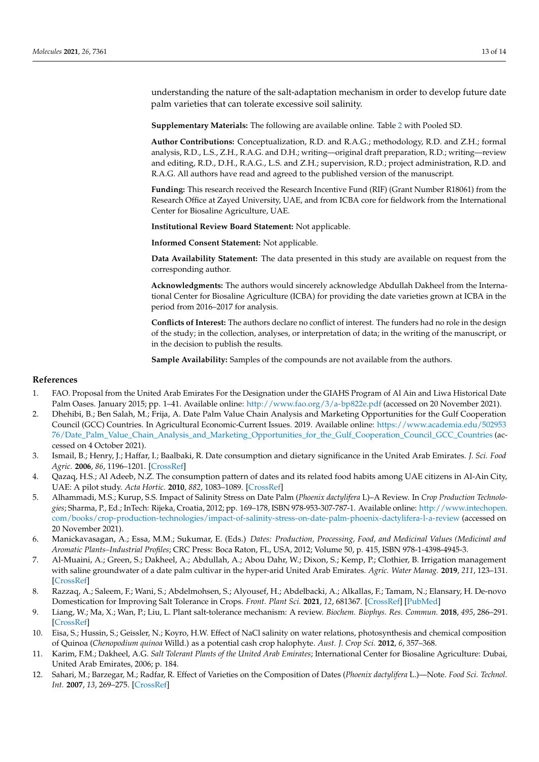understanding the nature of the salt-adaptation mechanism in order to develop future date palm varieties that can tolerate excessive soil salinity.

**Supplementary Materials:** The following are available online. Table [2](#page-4-1) with Pooled SD.

**Author Contributions:** Conceptualization, R.D. and R.A.G.; methodology, R.D. and Z.H.; formal analysis, R.D., L.S., Z.H., R.A.G. and D.H.; writing—original draft preparation, R.D.; writing—review and editing, R.D., D.H., R.A.G., L.S. and Z.H.; supervision, R.D.; project administration, R.D. and R.A.G. All authors have read and agreed to the published version of the manuscript.

**Funding:** This research received the Research Incentive Fund (RIF) (Grant Number R18061) from the Research Office at Zayed University, UAE, and from ICBA core for fieldwork from the International Center for Biosaline Agriculture, UAE.

**Institutional Review Board Statement:** Not applicable.

**Informed Consent Statement:** Not applicable.

**Data Availability Statement:** The data presented in this study are available on request from the corresponding author.

**Acknowledgments:** The authors would sincerely acknowledge Abdullah Dakheel from the International Center for Biosaline Agriculture (ICBA) for providing the date varieties grown at ICBA in the period from 2016–2017 for analysis.

**Conflicts of Interest:** The authors declare no conflict of interest. The funders had no role in the design of the study; in the collection, analyses, or interpretation of data; in the writing of the manuscript, or in the decision to publish the results.

**Sample Availability:** Samples of the compounds are not available from the authors.

#### **References**

- <span id="page-13-0"></span>1. FAO. Proposal from the United Arab Emirates For the Designation under the GIAHS Program of Al Ain and Liwa Historical Date Palm Oases. January 2015; pp. 1–41. Available online: <http://www.fao.org/3/a-bp822e.pdf> (accessed on 20 November 2021).
- <span id="page-13-1"></span>2. Dhehibi, B.; Ben Salah, M.; Frija, A. Date Palm Value Chain Analysis and Marketing Opportunities for the Gulf Cooperation Council (GCC) Countries. In Agricultural Economic-Current Issues. 2019. Available online: [https://www.academia.edu/502953](https://www.academia.edu/50295376/Date_Palm_Value_Chain_Analysis_and_Marketing_Opportunities_for_the_Gulf_Cooperation_Council_GCC_Countries) [76/Date\\_Palm\\_Value\\_Chain\\_Analysis\\_and\\_Marketing\\_Opportunities\\_for\\_the\\_Gulf\\_Cooperation\\_Council\\_GCC\\_Countries](https://www.academia.edu/50295376/Date_Palm_Value_Chain_Analysis_and_Marketing_Opportunities_for_the_Gulf_Cooperation_Council_GCC_Countries) (accessed on 4 October 2021).
- <span id="page-13-2"></span>3. Ismail, B.; Henry, J.; Haffar, I.; Baalbaki, R. Date consumption and dietary significance in the United Arab Emirates. *J. Sci. Food Agric.* **2006**, *86*, 1196–1201. [\[CrossRef\]](http://doi.org/10.1002/jsfa.2467)
- <span id="page-13-3"></span>4. Qazaq, H.S.; Al Adeeb, N.Z. The consumption pattern of dates and its related food habits among UAE citizens in Al-Ain City, UAE: A pilot study. *Acta Hortic.* **2010**, *882*, 1083–1089. [\[CrossRef\]](http://doi.org/10.17660/ActaHortic.2010.882.125)
- <span id="page-13-4"></span>5. Alhammadi, M.S.; Kurup, S.S. Impact of Salinity Stress on Date Palm (*Phoenix dactylifera* L)–A Review. In *Crop Production Technologies*; Sharma, P., Ed.; InTech: Rijeka, Croatia, 2012; pp. 169–178, ISBN 978-953-307-787-1. Available online: [http://www.intechopen.](http://www.intechopen.com/books/crop-production-technologies/impact-of-salinity-stress-on-date-palm-phoenix-dactylifera-l-a-review) [com/books/crop-production-technologies/impact-of-salinity-stress-on-date-palm-phoenix-dactylifera-l-a-review](http://www.intechopen.com/books/crop-production-technologies/impact-of-salinity-stress-on-date-palm-phoenix-dactylifera-l-a-review) (accessed on 20 November 2021).
- <span id="page-13-5"></span>6. Manickavasagan, A.; Essa, M.M.; Sukumar, E. (Eds.) *Dates: Production, Processing, Food, and Medicinal Values (Medicinal and Aromatic Plants–Industrial Profiles*; CRC Press: Boca Raton, FL, USA, 2012; Volume 50, p. 415, ISBN 978-1-4398-4945-3.
- <span id="page-13-6"></span>7. Al-Muaini, A.; Green, S.; Dakheel, A.; Abdullah, A.; Abou Dahr, W.; Dixon, S.; Kemp, P.; Clothier, B. Irrigation management with saline groundwater of a date palm cultivar in the hyper-arid United Arab Emirates. *Agric. Water Manag.* **2019**, *211*, 123–131. [\[CrossRef\]](http://doi.org/10.1016/j.agwat.2018.09.042)
- <span id="page-13-7"></span>8. Razzaq, A.; Saleem, F.; Wani, S.; Abdelmohsen, S.; Alyousef, H.; Abdelbacki, A.; Alkallas, F.; Tamam, N.; Elansary, H. De-novo Domestication for Improving Salt Tolerance in Crops. *Front. Plant Sci.* **2021**, *12*, 681367. [\[CrossRef\]](http://doi.org/10.3389/fpls.2021.681367) [\[PubMed\]](http://www.ncbi.nlm.nih.gov/pubmed/34603347)
- <span id="page-13-8"></span>9. Liang, W.; Ma, X.; Wan, P.; Liu, L. Plant salt-tolerance mechanism: A review. *Biochem. Biophys. Res. Commun.* **2018**, *495*, 286–291. [\[CrossRef\]](http://doi.org/10.1016/j.bbrc.2017.11.043)
- <span id="page-13-9"></span>10. Eisa, S.; Hussin, S.; Geissler, N.; Koyro, H.W. Effect of NaCl salinity on water relations, photosynthesis and chemical composition of Quinoa (*Chenopodium quinoa* Willd.) as a potential cash crop halophyte. *Aust. J. Crop Sci.* **2012**, *6*, 357–368.
- <span id="page-13-10"></span>11. Karim, F.M.; Dakheel, A.G. *Salt Tolerant Plants of the United Arab Emirates*; International Center for Biosaline Agriculture: Dubai, United Arab Emirates, 2006; p. 184.
- <span id="page-13-11"></span>12. Sahari, M.; Barzegar, M.; Radfar, R. Effect of Varieties on the Composition of Dates (*Phoenix dactylifera* L.)—Note. *Food Sci. Technol. Int.* **2007**, *13*, 269–275. [\[CrossRef\]](http://doi.org/10.1177/1082013207082244)